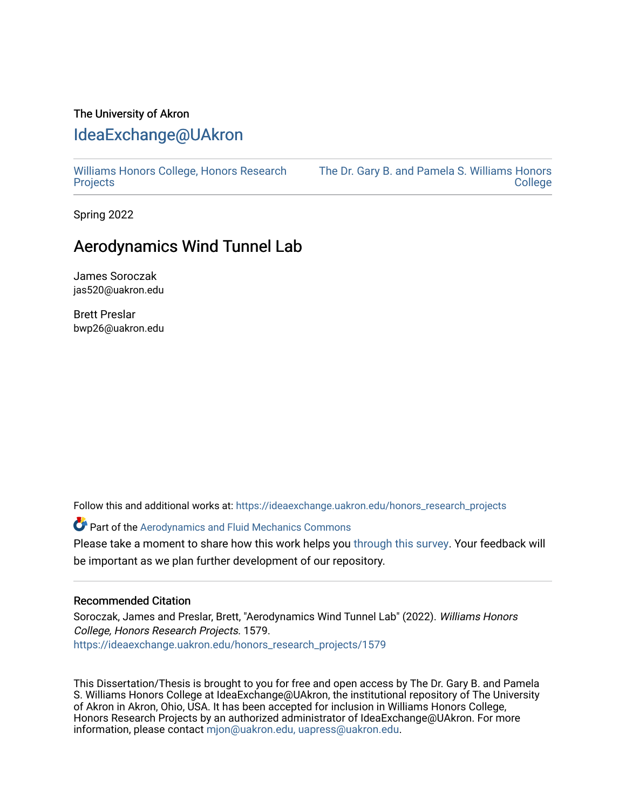# The University of Akron [IdeaExchange@UAkron](https://ideaexchange.uakron.edu/)

[Williams Honors College, Honors Research](https://ideaexchange.uakron.edu/honors_research_projects)  **[Projects](https://ideaexchange.uakron.edu/honors_research_projects)** 

[The Dr. Gary B. and Pamela S. Williams Honors](https://ideaexchange.uakron.edu/honorscollege_ideas)  [College](https://ideaexchange.uakron.edu/honorscollege_ideas) 

Spring 2022

# Aerodynamics Wind Tunnel Lab

James Soroczak jas520@uakron.edu

Brett Preslar bwp26@uakron.edu

Follow this and additional works at: [https://ideaexchange.uakron.edu/honors\\_research\\_projects](https://ideaexchange.uakron.edu/honors_research_projects?utm_source=ideaexchange.uakron.edu%2Fhonors_research_projects%2F1579&utm_medium=PDF&utm_campaign=PDFCoverPages) 

**Part of the Aerodynamics and Fluid Mechanics Commons** 

Please take a moment to share how this work helps you [through this survey](http://survey.az1.qualtrics.com/SE/?SID=SV_eEVH54oiCbOw05f&URL=https://ideaexchange.uakron.edu/honors_research_projects/1579). Your feedback will be important as we plan further development of our repository.

#### Recommended Citation

Soroczak, James and Preslar, Brett, "Aerodynamics Wind Tunnel Lab" (2022). Williams Honors College, Honors Research Projects. 1579. [https://ideaexchange.uakron.edu/honors\\_research\\_projects/1579](https://ideaexchange.uakron.edu/honors_research_projects/1579?utm_source=ideaexchange.uakron.edu%2Fhonors_research_projects%2F1579&utm_medium=PDF&utm_campaign=PDFCoverPages) 

This Dissertation/Thesis is brought to you for free and open access by The Dr. Gary B. and Pamela S. Williams Honors College at IdeaExchange@UAkron, the institutional repository of The University of Akron in Akron, Ohio, USA. It has been accepted for inclusion in Williams Honors College, Honors Research Projects by an authorized administrator of IdeaExchange@UAkron. For more information, please contact [mjon@uakron.edu, uapress@uakron.edu.](mailto:mjon@uakron.edu,%20uapress@uakron.edu)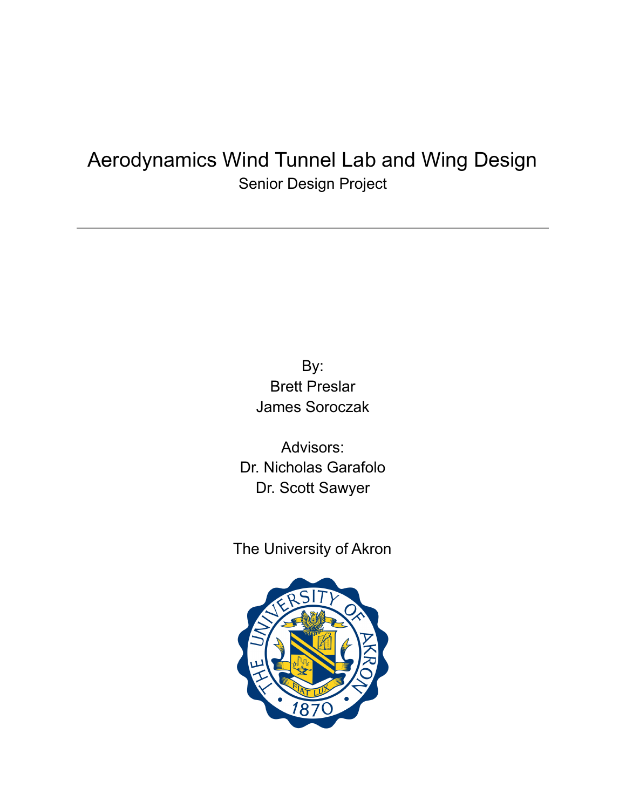# Aerodynamics Wind Tunnel Lab and Wing Design Senior Design Project

By: Brett Preslar James Soroczak

Advisors: Dr. Nicholas Garafolo Dr. Scott Sawyer

The University of Akron

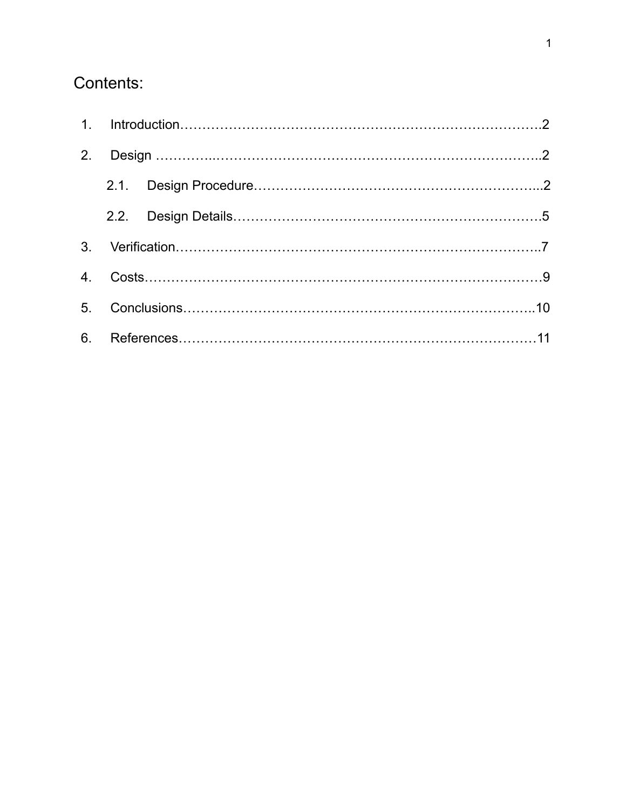# Contents: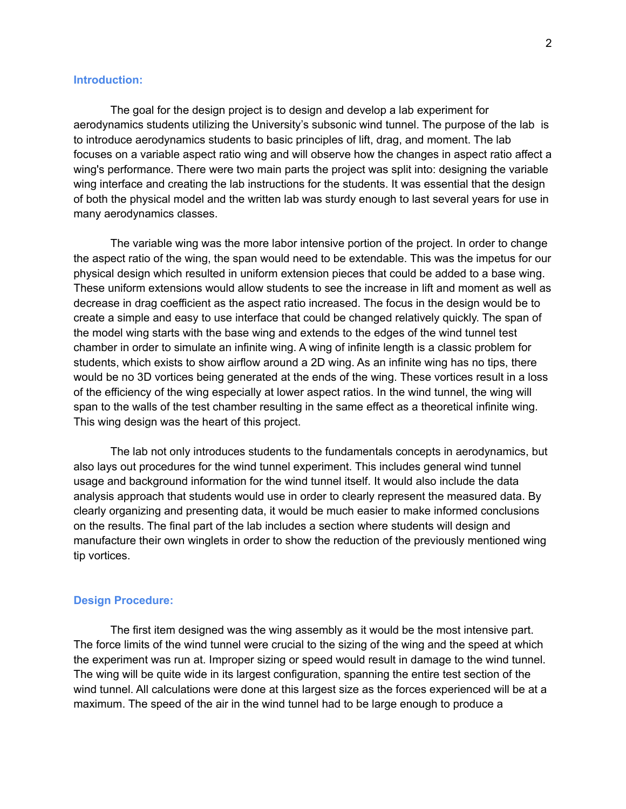#### **Introduction:**

The goal for the design project is to design and develop a lab experiment for aerodynamics students utilizing the University's subsonic wind tunnel. The purpose of the lab is to introduce aerodynamics students to basic principles of lift, drag, and moment. The lab focuses on a variable aspect ratio wing and will observe how the changes in aspect ratio affect a wing's performance. There were two main parts the project was split into: designing the variable wing interface and creating the lab instructions for the students. It was essential that the design of both the physical model and the written lab was sturdy enough to last several years for use in many aerodynamics classes.

The variable wing was the more labor intensive portion of the project. In order to change the aspect ratio of the wing, the span would need to be extendable. This was the impetus for our physical design which resulted in uniform extension pieces that could be added to a base wing. These uniform extensions would allow students to see the increase in lift and moment as well as decrease in drag coefficient as the aspect ratio increased. The focus in the design would be to create a simple and easy to use interface that could be changed relatively quickly. The span of the model wing starts with the base wing and extends to the edges of the wind tunnel test chamber in order to simulate an infinite wing. A wing of infinite length is a classic problem for students, which exists to show airflow around a 2D wing. As an infinite wing has no tips, there would be no 3D vortices being generated at the ends of the wing. These vortices result in a loss of the efficiency of the wing especially at lower aspect ratios. In the wind tunnel, the wing will span to the walls of the test chamber resulting in the same effect as a theoretical infinite wing. This wing design was the heart of this project.

The lab not only introduces students to the fundamentals concepts in aerodynamics, but also lays out procedures for the wind tunnel experiment. This includes general wind tunnel usage and background information for the wind tunnel itself. It would also include the data analysis approach that students would use in order to clearly represent the measured data. By clearly organizing and presenting data, it would be much easier to make informed conclusions on the results. The final part of the lab includes a section where students will design and manufacture their own winglets in order to show the reduction of the previously mentioned wing tip vortices.

## **Design Procedure:**

The first item designed was the wing assembly as it would be the most intensive part. The force limits of the wind tunnel were crucial to the sizing of the wing and the speed at which the experiment was run at. Improper sizing or speed would result in damage to the wind tunnel. The wing will be quite wide in its largest configuration, spanning the entire test section of the wind tunnel. All calculations were done at this largest size as the forces experienced will be at a maximum. The speed of the air in the wind tunnel had to be large enough to produce a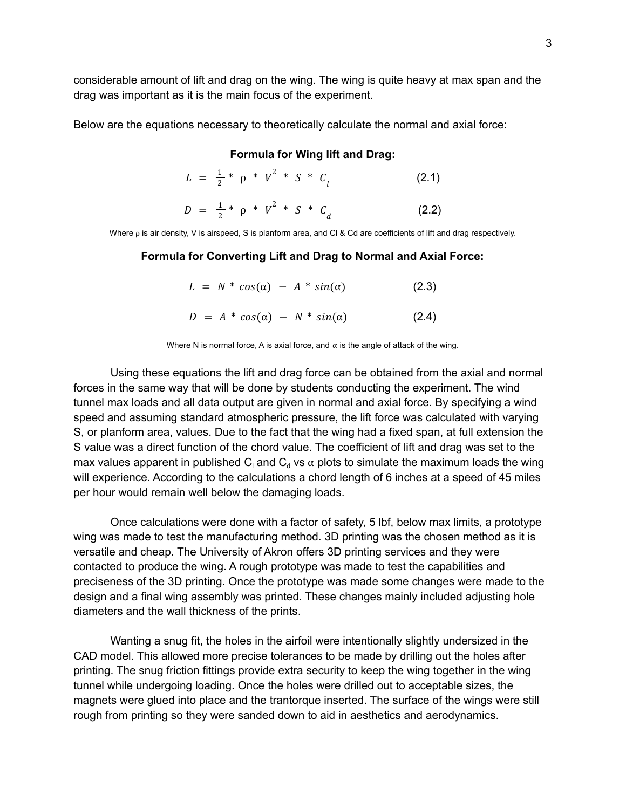considerable amount of lift and drag on the wing. The wing is quite heavy at max span and the drag was important as it is the main focus of the experiment.

Below are the equations necessary to theoretically calculate the normal and axial force:

#### **Formula for Wing lift and Drag:**

|  | $L = \frac{1}{2} * \rho * V^2 * S * C$ |  |  |  | (2.1) |
|--|----------------------------------------|--|--|--|-------|
|--|----------------------------------------|--|--|--|-------|

$$
D = \frac{1}{2} * \rho * V^2 * S * C_d \tag{2.2}
$$

Where ρ is air density, V is airspeed, S is planform area, and Cl & Cd are coefficients of lift and drag respectively.

#### **Formula for Converting Lift and Drag to Normal and Axial Force:**

|  | $L = N * cos(\alpha) - A * sin(\alpha)$ | (2.3) |
|--|-----------------------------------------|-------|
|  | $D = A * cos(\alpha) - N * sin(\alpha)$ | (2.4) |

Where N is normal force, A is axial force, and  $\alpha$  is the angle of attack of the wing.

Using these equations the lift and drag force can be obtained from the axial and normal forces in the same way that will be done by students conducting the experiment. The wind tunnel max loads and all data output are given in normal and axial force. By specifying a wind speed and assuming standard atmospheric pressure, the lift force was calculated with varying S, or planform area, values. Due to the fact that the wing had a fixed span, at full extension the S value was a direct function of the chord value. The coefficient of lift and drag was set to the max values apparent in published C<sub>i</sub> and C<sub>d</sub> vs  $\alpha$  plots to simulate the maximum loads the wing will experience. According to the calculations a chord length of 6 inches at a speed of 45 miles per hour would remain well below the damaging loads.

Once calculations were done with a factor of safety, 5 lbf, below max limits, a prototype wing was made to test the manufacturing method. 3D printing was the chosen method as it is versatile and cheap. The University of Akron offers 3D printing services and they were contacted to produce the wing. A rough prototype was made to test the capabilities and preciseness of the 3D printing. Once the prototype was made some changes were made to the design and a final wing assembly was printed. These changes mainly included adjusting hole diameters and the wall thickness of the prints.

Wanting a snug fit, the holes in the airfoil were intentionally slightly undersized in the CAD model. This allowed more precise tolerances to be made by drilling out the holes after printing. The snug friction fittings provide extra security to keep the wing together in the wing tunnel while undergoing loading. Once the holes were drilled out to acceptable sizes, the magnets were glued into place and the trantorque inserted. The surface of the wings were still rough from printing so they were sanded down to aid in aesthetics and aerodynamics.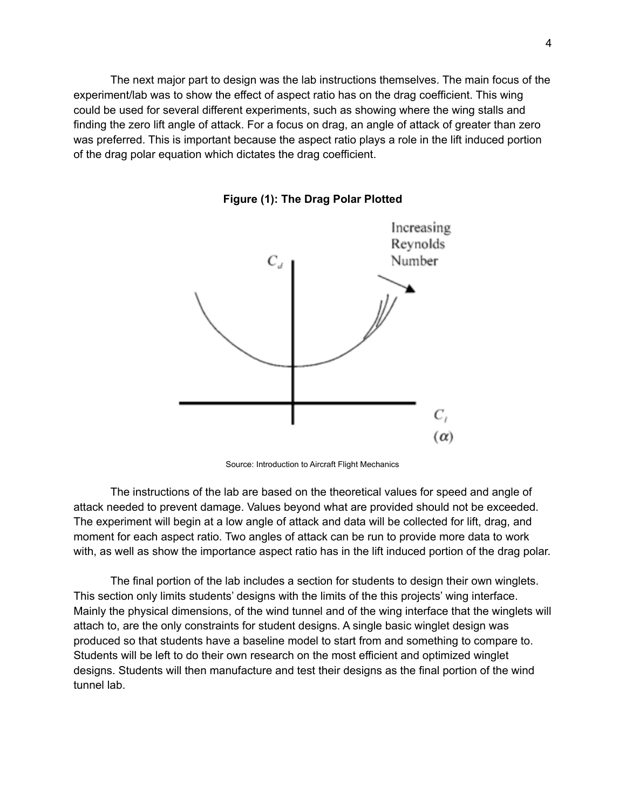The next major part to design was the lab instructions themselves. The main focus of the experiment/lab was to show the effect of aspect ratio has on the drag coefficient. This wing could be used for several different experiments, such as showing where the wing stalls and finding the zero lift angle of attack. For a focus on drag, an angle of attack of greater than zero was preferred. This is important because the aspect ratio plays a role in the lift induced portion of the drag polar equation which dictates the drag coefficient.



**Figure (1): The Drag Polar Plotted**

Source: Introduction to Aircraft Flight Mechanics

The instructions of the lab are based on the theoretical values for speed and angle of attack needed to prevent damage. Values beyond what are provided should not be exceeded. The experiment will begin at a low angle of attack and data will be collected for lift, drag, and moment for each aspect ratio. Two angles of attack can be run to provide more data to work with, as well as show the importance aspect ratio has in the lift induced portion of the drag polar.

The final portion of the lab includes a section for students to design their own winglets. This section only limits students' designs with the limits of the this projects' wing interface. Mainly the physical dimensions, of the wind tunnel and of the wing interface that the winglets will attach to, are the only constraints for student designs. A single basic winglet design was produced so that students have a baseline model to start from and something to compare to. Students will be left to do their own research on the most efficient and optimized winglet designs. Students will then manufacture and test their designs as the final portion of the wind tunnel lab.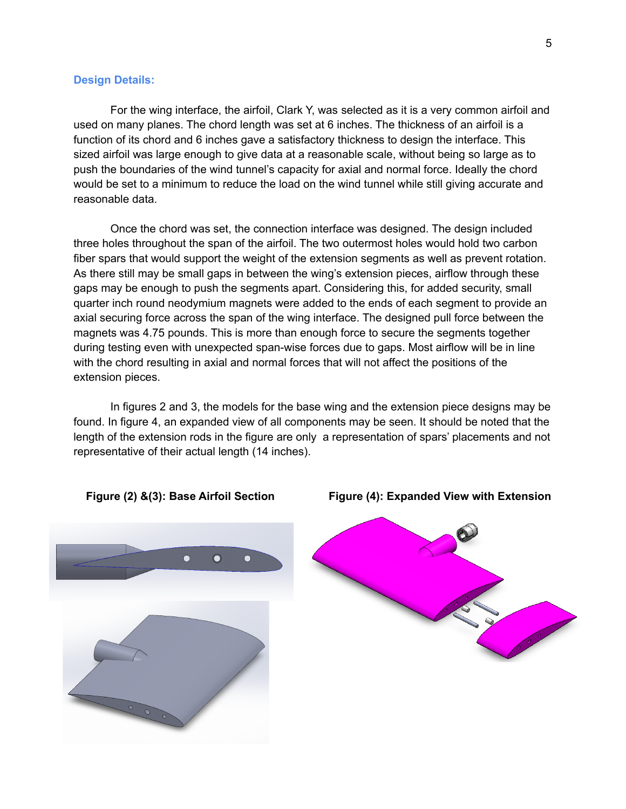#### **Design Details:**

For the wing interface, the airfoil, Clark Y, was selected as it is a very common airfoil and used on many planes. The chord length was set at 6 inches. The thickness of an airfoil is a function of its chord and 6 inches gave a satisfactory thickness to design the interface. This sized airfoil was large enough to give data at a reasonable scale, without being so large as to push the boundaries of the wind tunnel's capacity for axial and normal force. Ideally the chord would be set to a minimum to reduce the load on the wind tunnel while still giving accurate and reasonable data.

Once the chord was set, the connection interface was designed. The design included three holes throughout the span of the airfoil. The two outermost holes would hold two carbon fiber spars that would support the weight of the extension segments as well as prevent rotation. As there still may be small gaps in between the wing's extension pieces, airflow through these gaps may be enough to push the segments apart. Considering this, for added security, small quarter inch round neodymium magnets were added to the ends of each segment to provide an axial securing force across the span of the wing interface. The designed pull force between the magnets was 4.75 pounds. This is more than enough force to secure the segments together during testing even with unexpected span-wise forces due to gaps. Most airflow will be in line with the chord resulting in axial and normal forces that will not affect the positions of the extension pieces.

In figures 2 and 3, the models for the base wing and the extension piece designs may be found. In figure 4, an expanded view of all components may be seen. It should be noted that the length of the extension rods in the figure are only a representation of spars' placements and not representative of their actual length (14 inches).





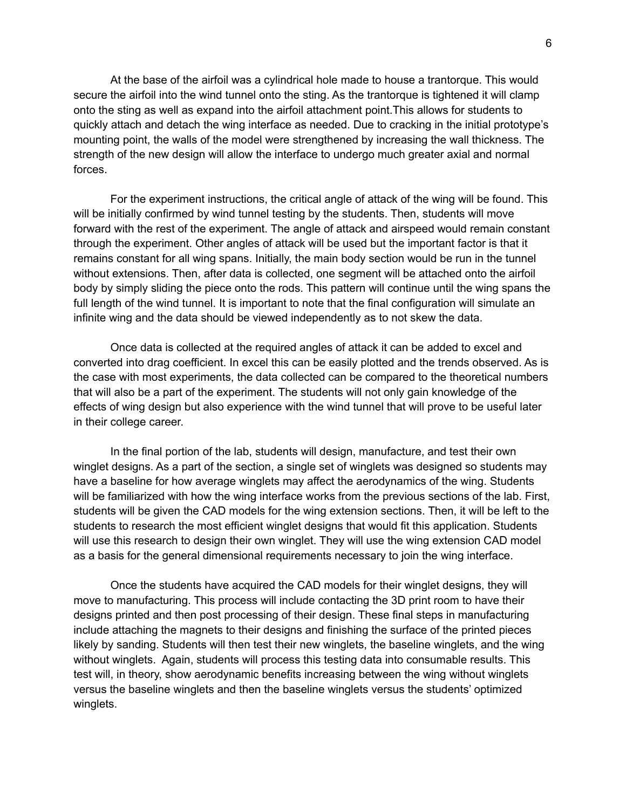At the base of the airfoil was a cylindrical hole made to house a trantorque. This would secure the airfoil into the wind tunnel onto the sting. As the trantorque is tightened it will clamp onto the sting as well as expand into the airfoil attachment point.This allows for students to quickly attach and detach the wing interface as needed. Due to cracking in the initial prototype's mounting point, the walls of the model were strengthened by increasing the wall thickness. The strength of the new design will allow the interface to undergo much greater axial and normal forces.

For the experiment instructions, the critical angle of attack of the wing will be found. This will be initially confirmed by wind tunnel testing by the students. Then, students will move forward with the rest of the experiment. The angle of attack and airspeed would remain constant through the experiment. Other angles of attack will be used but the important factor is that it remains constant for all wing spans. Initially, the main body section would be run in the tunnel without extensions. Then, after data is collected, one segment will be attached onto the airfoil body by simply sliding the piece onto the rods. This pattern will continue until the wing spans the full length of the wind tunnel. It is important to note that the final configuration will simulate an infinite wing and the data should be viewed independently as to not skew the data.

Once data is collected at the required angles of attack it can be added to excel and converted into drag coefficient. In excel this can be easily plotted and the trends observed. As is the case with most experiments, the data collected can be compared to the theoretical numbers that will also be a part of the experiment. The students will not only gain knowledge of the effects of wing design but also experience with the wind tunnel that will prove to be useful later in their college career.

In the final portion of the lab, students will design, manufacture, and test their own winglet designs. As a part of the section, a single set of winglets was designed so students may have a baseline for how average winglets may affect the aerodynamics of the wing. Students will be familiarized with how the wing interface works from the previous sections of the lab. First, students will be given the CAD models for the wing extension sections. Then, it will be left to the students to research the most efficient winglet designs that would fit this application. Students will use this research to design their own winglet. They will use the wing extension CAD model as a basis for the general dimensional requirements necessary to join the wing interface.

Once the students have acquired the CAD models for their winglet designs, they will move to manufacturing. This process will include contacting the 3D print room to have their designs printed and then post processing of their design. These final steps in manufacturing include attaching the magnets to their designs and finishing the surface of the printed pieces likely by sanding. Students will then test their new winglets, the baseline winglets, and the wing without winglets. Again, students will process this testing data into consumable results. This test will, in theory, show aerodynamic benefits increasing between the wing without winglets versus the baseline winglets and then the baseline winglets versus the students' optimized winglets.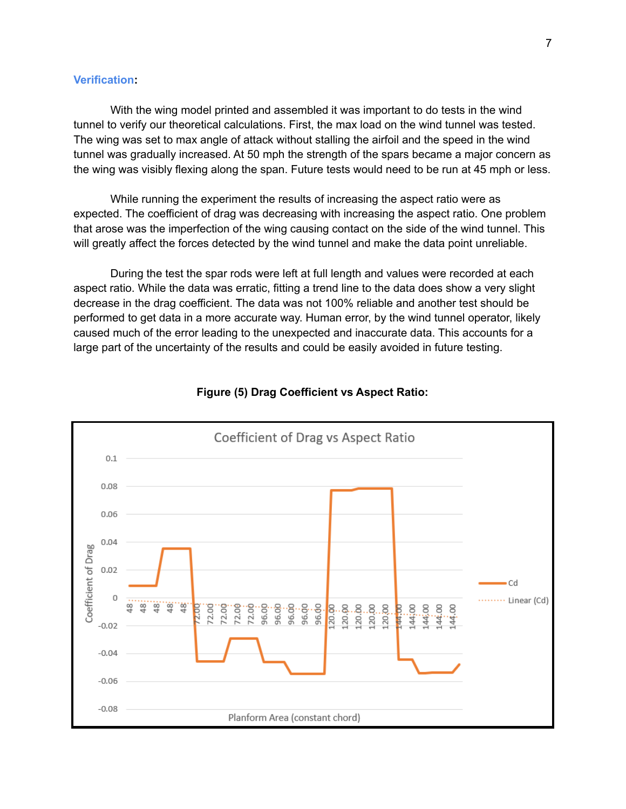# **Verification:**

With the wing model printed and assembled it was important to do tests in the wind tunnel to verify our theoretical calculations. First, the max load on the wind tunnel was tested. The wing was set to max angle of attack without stalling the airfoil and the speed in the wind tunnel was gradually increased. At 50 mph the strength of the spars became a major concern as the wing was visibly flexing along the span. Future tests would need to be run at 45 mph or less.

While running the experiment the results of increasing the aspect ratio were as expected. The coefficient of drag was decreasing with increasing the aspect ratio. One problem that arose was the imperfection of the wing causing contact on the side of the wind tunnel. This will greatly affect the forces detected by the wind tunnel and make the data point unreliable.

During the test the spar rods were left at full length and values were recorded at each aspect ratio. While the data was erratic, fitting a trend line to the data does show a very slight decrease in the drag coefficient. The data was not 100% reliable and another test should be performed to get data in a more accurate way. Human error, by the wind tunnel operator, likely caused much of the error leading to the unexpected and inaccurate data. This accounts for a large part of the uncertainty of the results and could be easily avoided in future testing.



#### **Figure (5) Drag Coefficient vs Aspect Ratio:**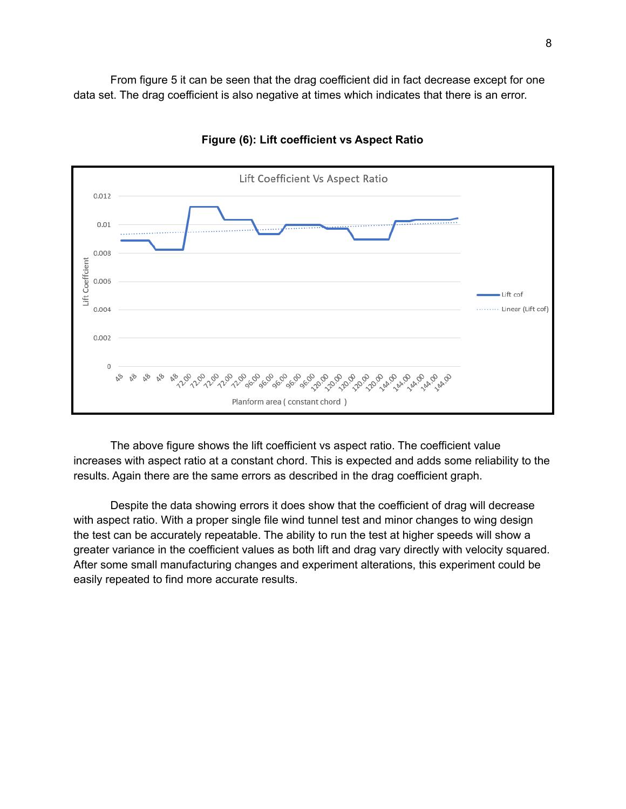From figure 5 it can be seen that the drag coefficient did in fact decrease except for one data set. The drag coefficient is also negative at times which indicates that there is an error.



## **Figure (6): Lift coefficient vs Aspect Ratio**

The above figure shows the lift coefficient vs aspect ratio. The coefficient value increases with aspect ratio at a constant chord. This is expected and adds some reliability to the results. Again there are the same errors as described in the drag coefficient graph.

Despite the data showing errors it does show that the coefficient of drag will decrease with aspect ratio. With a proper single file wind tunnel test and minor changes to wing design the test can be accurately repeatable. The ability to run the test at higher speeds will show a greater variance in the coefficient values as both lift and drag vary directly with velocity squared. After some small manufacturing changes and experiment alterations, this experiment could be easily repeated to find more accurate results.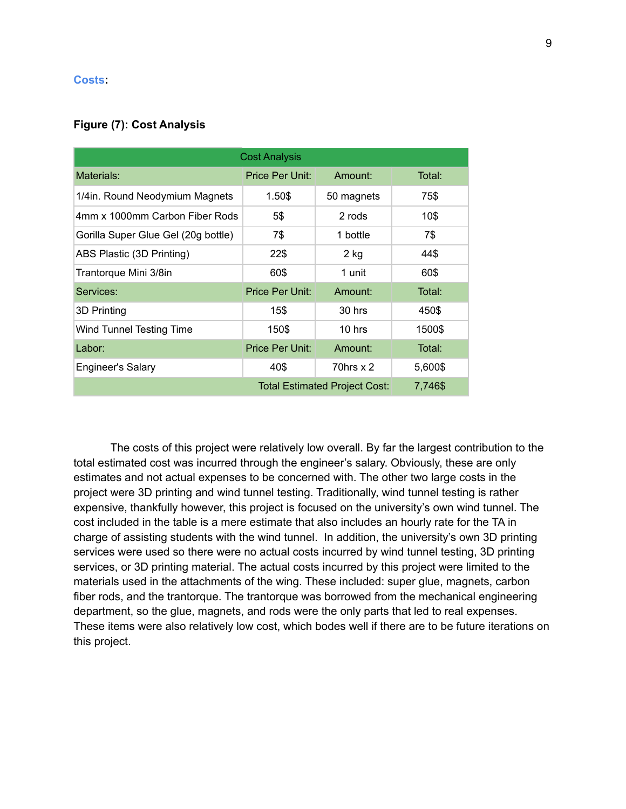#### **Costs:**

## **Figure (7): Cost Analysis**

| <b>Cost Analysis</b>                |                 |                |         |  |  |  |  |
|-------------------------------------|-----------------|----------------|---------|--|--|--|--|
| Materials:                          | Price Per Unit: | Amount:        | Total:  |  |  |  |  |
| 1/4in. Round Neodymium Magnets      | 1.50\$          | 50 magnets     | 75\$    |  |  |  |  |
| 4mm x 1000mm Carbon Fiber Rods      | 5\$             | 2 rods         | 10\$    |  |  |  |  |
| Gorilla Super Glue Gel (20g bottle) | 7\$             | 1 bottle       | 7\$     |  |  |  |  |
| ABS Plastic (3D Printing)           | 22\$            | $2$ kg         | 44\$    |  |  |  |  |
| Trantorque Mini 3/8in               | 60\$            | 1 unit         | 60\$    |  |  |  |  |
| Services:                           | Price Per Unit: | Amount:        | Total:  |  |  |  |  |
| 3D Printing                         | 15\$            | $30$ hrs       | 450\$   |  |  |  |  |
| Wind Tunnel Testing Time            | 150\$           | $10$ hrs       | 1500\$  |  |  |  |  |
| Labor:                              | Price Per Unit: | Amount:        | Total:  |  |  |  |  |
| <b>Engineer's Salary</b>            | 40\$            | $70$ hrs x $2$ | 5,600\$ |  |  |  |  |
|                                     | 7,746\$         |                |         |  |  |  |  |

The costs of this project were relatively low overall. By far the largest contribution to the total estimated cost was incurred through the engineer's salary. Obviously, these are only estimates and not actual expenses to be concerned with. The other two large costs in the project were 3D printing and wind tunnel testing. Traditionally, wind tunnel testing is rather expensive, thankfully however, this project is focused on the university's own wind tunnel. The cost included in the table is a mere estimate that also includes an hourly rate for the TA in charge of assisting students with the wind tunnel. In addition, the university's own 3D printing services were used so there were no actual costs incurred by wind tunnel testing, 3D printing services, or 3D printing material. The actual costs incurred by this project were limited to the materials used in the attachments of the wing. These included: super glue, magnets, carbon fiber rods, and the trantorque. The trantorque was borrowed from the mechanical engineering department, so the glue, magnets, and rods were the only parts that led to real expenses. These items were also relatively low cost, which bodes well if there are to be future iterations on this project.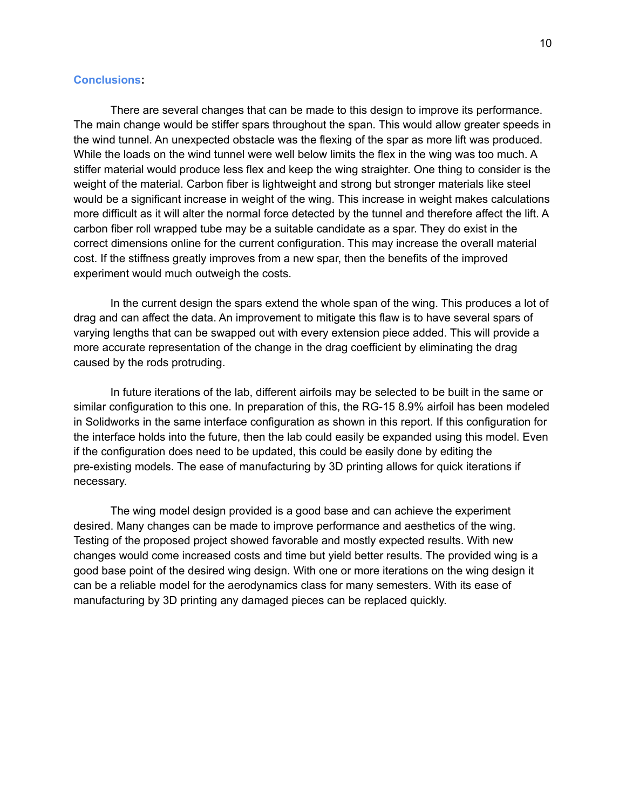## **Conclusions:**

There are several changes that can be made to this design to improve its performance. The main change would be stiffer spars throughout the span. This would allow greater speeds in the wind tunnel. An unexpected obstacle was the flexing of the spar as more lift was produced. While the loads on the wind tunnel were well below limits the flex in the wing was too much. A stiffer material would produce less flex and keep the wing straighter. One thing to consider is the weight of the material. Carbon fiber is lightweight and strong but stronger materials like steel would be a significant increase in weight of the wing. This increase in weight makes calculations more difficult as it will alter the normal force detected by the tunnel and therefore affect the lift. A carbon fiber roll wrapped tube may be a suitable candidate as a spar. They do exist in the correct dimensions online for the current configuration. This may increase the overall material cost. If the stiffness greatly improves from a new spar, then the benefits of the improved experiment would much outweigh the costs.

In the current design the spars extend the whole span of the wing. This produces a lot of drag and can affect the data. An improvement to mitigate this flaw is to have several spars of varying lengths that can be swapped out with every extension piece added. This will provide a more accurate representation of the change in the drag coefficient by eliminating the drag caused by the rods protruding.

In future iterations of the lab, different airfoils may be selected to be built in the same or similar configuration to this one. In preparation of this, the RG-15 8.9% airfoil has been modeled in Solidworks in the same interface configuration as shown in this report. If this configuration for the interface holds into the future, then the lab could easily be expanded using this model. Even if the configuration does need to be updated, this could be easily done by editing the pre-existing models. The ease of manufacturing by 3D printing allows for quick iterations if necessary.

The wing model design provided is a good base and can achieve the experiment desired. Many changes can be made to improve performance and aesthetics of the wing. Testing of the proposed project showed favorable and mostly expected results. With new changes would come increased costs and time but yield better results. The provided wing is a good base point of the desired wing design. With one or more iterations on the wing design it can be a reliable model for the aerodynamics class for many semesters. With its ease of manufacturing by 3D printing any damaged pieces can be replaced quickly.